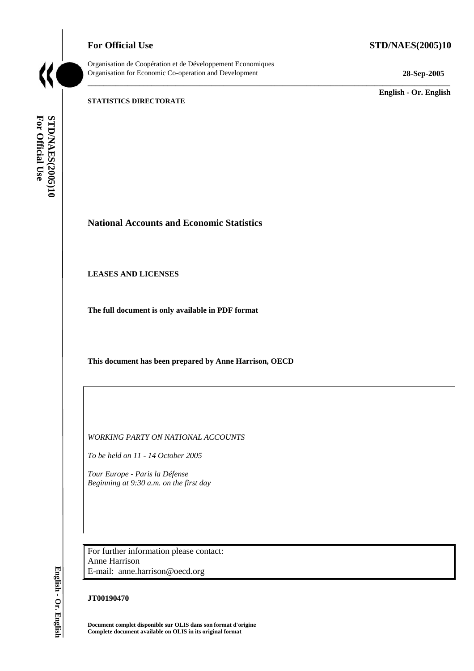# **For Official Use STD/NAES(2005)10**



Organisation de Coopération et de Développement Economiques Organisation for Economic Co-operation and Development **28-Sep-2005** 

\_\_\_\_\_\_\_\_\_\_\_\_\_\_\_\_\_\_\_\_\_\_\_\_\_\_\_\_\_\_\_\_\_\_\_\_\_\_\_\_\_\_\_\_\_\_\_\_\_\_\_\_\_\_\_\_\_\_\_\_\_\_\_\_\_\_\_\_\_\_\_\_\_\_\_\_\_\_\_\_\_\_\_\_\_\_\_\_\_\_\_

\_\_\_\_\_\_\_\_\_\_\_\_\_ **English - Or. English** 

#### **STATISTICS DIRECTORATE**

For Official Use STD/NAES(2005)10 **For Official Use STD/NAES(2005)10**

**National Accounts and Economic Statistics** 

**LEASES AND LICENSES** 

**The full document is only available in PDF format** 

**This document has been prepared by Anne Harrison, OECD** 

*WORKING PARTY ON NATIONAL ACCOUNTS* 

*To be held on 11 - 14 October 2005* 

*Tour Europe - Paris la Défense Beginning at 9:30 a.m. on the first day* 

For further information please contact: Anne Harrison E-mail: anne.harrison@oecd.org

## **JT00190470**

**Document complet disponible sur OLIS dans son format d'origine Complete document available on OLIS in its original format** 

English - Or. English **English - Or. English**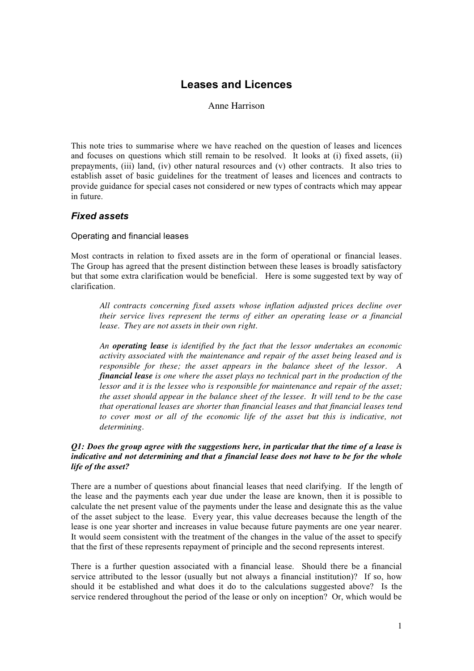# **Leases and Licences**

Anne Harrison

This note tries to summarise where we have reached on the question of leases and licences and focuses on questions which still remain to be resolved. It looks at (i) fixed assets, (ii) prepayments, (iii) land, (iv) other natural resources and (v) other contracts. It also tries to establish asset of basic guidelines for the treatment of leases and licences and contracts to provide guidance for special cases not considered or new types of contracts which may appear in future.

# *Fixed assets*

## Operating and financial leases

Most contracts in relation to fixed assets are in the form of operational or financial leases. The Group has agreed that the present distinction between these leases is broadly satisfactory but that some extra clarification would be beneficial. Here is some suggested text by way of clarification.

*All contracts concerning fixed assets whose inflation adjusted prices decline over their service lives represent the terms of either an operating lease or a financial lease. They are not assets in their own right.*

*An operating lease is identified by the fact that the lessor undertakes an economic activity associated with the maintenance and repair of the asset being leased and is responsible for these; the asset appears in the balance sheet of the lessor. A financial lease is one where the asset plays no technical part in the production of the lessor and it is the lessee who is responsible for maintenance and repair of the asset; the asset should appear in the balance sheet of the lessee. It will tend to be the case that operational leases are shorter than financial leases and that financial leases tend to cover most or all of the economic life of the asset but this is indicative, not determining.*

## *Q1: Does the group agree with the suggestions here, in particular that the time of a lease is indicative and not determining and that a financial lease does not have to be for the whole life of the asset?*

There are a number of questions about financial leases that need clarifying. If the length of the lease and the payments each year due under the lease are known, then it is possible to calculate the net present value of the payments under the lease and designate this as the value of the asset subject to the lease. Every year, this value decreases because the length of the lease is one year shorter and increases in value because future payments are one year nearer. It would seem consistent with the treatment of the changes in the value of the asset to specify that the first of these represents repayment of principle and the second represents interest.

There is a further question associated with a financial lease. Should there be a financial service attributed to the lessor (usually but not always a financial institution)? If so, how should it be established and what does it do to the calculations suggested above? Is the service rendered throughout the period of the lease or only on inception? Or, which would be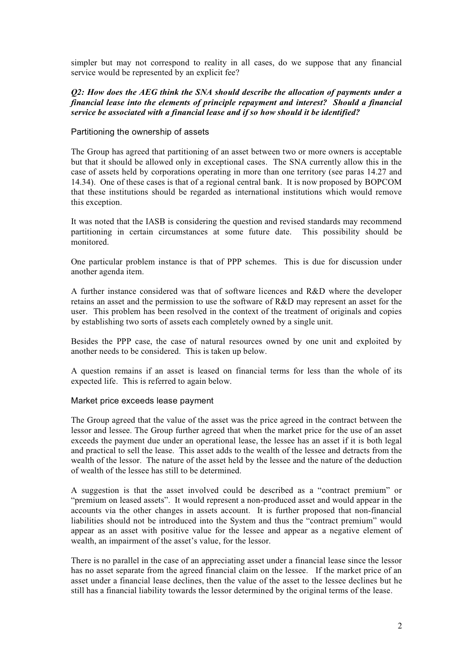simpler but may not correspond to reality in all cases, do we suppose that any financial service would be represented by an explicit fee?

## *Q2: How does the AEG think the SNA should describe the allocation of payments under a financial lease into the elements of principle repayment and interest? Should a financial service be associated with a financial lease and if so how should it be identified?*

## Partitioning the ownership of assets

The Group has agreed that partitioning of an asset between two or more owners is acceptable but that it should be allowed only in exceptional cases. The SNA currently allow this in the case of assets held by corporations operating in more than one territory (see paras 14.27 and 14.34). One of these cases is that of a regional central bank. It is now proposed by BOPCOM that these institutions should be regarded as international institutions which would remove this exception.

It was noted that the IASB is considering the question and revised standards may recommend partitioning in certain circumstances at some future date. This possibility should be monitored.

One particular problem instance is that of PPP schemes. This is due for discussion under another agenda item.

A further instance considered was that of software licences and R&D where the developer retains an asset and the permission to use the software of R&D may represent an asset for the user. This problem has been resolved in the context of the treatment of originals and copies by establishing two sorts of assets each completely owned by a single unit.

Besides the PPP case, the case of natural resources owned by one unit and exploited by another needs to be considered. This is taken up below.

A question remains if an asset is leased on financial terms for less than the whole of its expected life. This is referred to again below.

#### Market price exceeds lease payment

The Group agreed that the value of the asset was the price agreed in the contract between the lessor and lessee. The Group further agreed that when the market price for the use of an asset exceeds the payment due under an operational lease, the lessee has an asset if it is both legal and practical to sell the lease. This asset adds to the wealth of the lessee and detracts from the wealth of the lessor. The nature of the asset held by the lessee and the nature of the deduction of wealth of the lessee has still to be determined.

A suggestion is that the asset involved could be described as a "contract premium" or "premium on leased assets". It would represent a non-produced asset and would appear in the accounts via the other changes in assets account. It is further proposed that non-financial liabilities should not be introduced into the System and thus the "contract premium" would appear as an asset with positive value for the lessee and appear as a negative element of wealth, an impairment of the asset's value, for the lessor.

There is no parallel in the case of an appreciating asset under a financial lease since the lessor has no asset separate from the agreed financial claim on the lessee. If the market price of an asset under a financial lease declines, then the value of the asset to the lessee declines but he still has a financial liability towards the lessor determined by the original terms of the lease.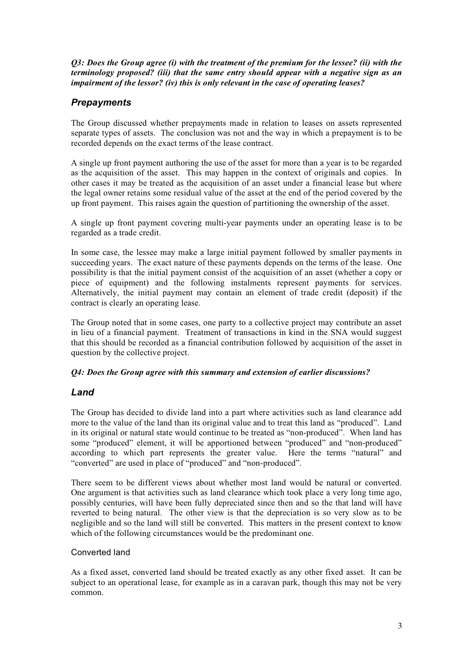*Q3: Does the Group agree (i) with the treatment of the premium for the lessee? (ii) with the terminology proposed? (iii) that the same entry should appear with a negative sign as an impairment of the lessor? (iv) this is only relevant in the case of operating leases?*

# *Prepayments*

The Group discussed whether prepayments made in relation to leases on assets represented separate types of assets. The conclusion was not and the way in which a prepayment is to be recorded depends on the exact terms of the lease contract.

A single up front payment authoring the use of the asset for more than a year is to be regarded as the acquisition of the asset. This may happen in the context of originals and copies. In other cases it may be treated as the acquisition of an asset under a financial lease but where the legal owner retains some residual value of the asset at the end of the period covered by the up front payment. This raises again the question of partitioning the ownership of the asset.

A single up front payment covering multi-year payments under an operating lease is to be regarded as a trade credit.

In some case, the lessee may make a large initial payment followed by smaller payments in succeeding years. The exact nature of these payments depends on the terms of the lease. One possibility is that the initial payment consist of the acquisition of an asset (whether a copy or piece of equipment) and the following instalments represent payments for services. Alternatively, the initial payment may contain an element of trade credit (deposit) if the contract is clearly an operating lease.

The Group noted that in some cases, one party to a collective project may contribute an asset in lieu of a financial payment. Treatment of transactions in kind in the SNA would suggest that this should be recorded as a financial contribution followed by acquisition of the asset in question by the collective project.

# *Q4: Does the Group agree with this summary and extension of earlier discussions?*

# *Land*

The Group has decided to divide land into a part where activities such as land clearance add more to the value of the land than its original value and to treat this land as "produced". Land in its original or natural state would continue to be treated as "non-produced". When land has some "produced" element, it will be apportioned between "produced" and "non-produced" according to which part represents the greater value. Here the terms "natural" and "converted" are used in place of "produced" and "non-produced".

There seem to be different views about whether most land would be natural or converted. One argument is that activities such as land clearance which took place a very long time ago, possibly centuries, will have been fully depreciated since then and so the that land will have reverted to being natural. The other view is that the depreciation is so very slow as to be negligible and so the land will still be converted. This matters in the present context to know which of the following circumstances would be the predominant one.

# Converted land

As a fixed asset, converted land should be treated exactly as any other fixed asset. It can be subject to an operational lease, for example as in a caravan park, though this may not be very common.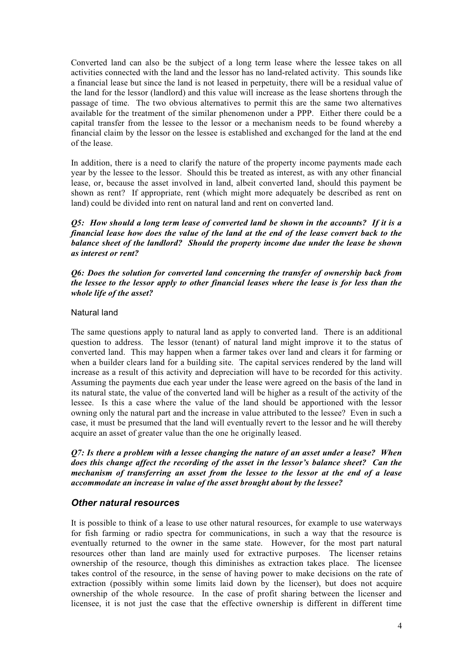Converted land can also be the subject of a long term lease where the lessee takes on all activities connected with the land and the lessor has no land-related activity. This sounds like a financial lease but since the land is not leased in perpetuity, there will be a residual value of the land for the lessor (landlord) and this value will increase as the lease shortens through the passage of time. The two obvious alternatives to permit this are the same two alternatives available for the treatment of the similar phenomenon under a PPP. Either there could be a capital transfer from the lessee to the lessor or a mechanism needs to be found whereby a financial claim by the lessor on the lessee is established and exchanged for the land at the end of the lease.

In addition, there is a need to clarify the nature of the property income payments made each year by the lessee to the lessor. Should this be treated as interest, as with any other financial lease, or, because the asset involved in land, albeit converted land, should this payment be shown as rent? If appropriate, rent (which might more adequately be described as rent on land) could be divided into rent on natural land and rent on converted land.

*Q5: How should a long term lease of converted land be shown in the accounts? If it is a financial lease how does the value of the land at the end of the lease convert back to the balance sheet of the landlord? Should the property income due under the lease be shown as interest or rent?*

*Q6: Does the solution for converted land concerning the transfer of ownership back from the lessee to the lessor apply to other financial leases where the lease is for less than the whole life of the asset?*

## Natural land

The same questions apply to natural land as apply to converted land. There is an additional question to address. The lessor (tenant) of natural land might improve it to the status of converted land. This may happen when a farmer takes over land and clears it for farming or when a builder clears land for a building site. The capital services rendered by the land will increase as a result of this activity and depreciation will have to be recorded for this activity. Assuming the payments due each year under the lease were agreed on the basis of the land in its natural state, the value of the converted land will be higher as a result of the activity of the lessee. Is this a case where the value of the land should be apportioned with the lessor owning only the natural part and the increase in value attributed to the lessee? Even in such a case, it must be presumed that the land will eventually revert to the lessor and he will thereby acquire an asset of greater value than the one he originally leased.

*Q7: Is there a problem with a lessee changing the nature of an asset under a lease? When does this change affect the recording of the asset in the lessor's balance sheet? Can the mechanism of transferring an asset from the lessee to the lessor at the end of a lease accommodate an increase in value of the asset brought about by the lessee?*

## *Other natural resources*

It is possible to think of a lease to use other natural resources, for example to use waterways for fish farming or radio spectra for communications, in such a way that the resource is eventually returned to the owner in the same state. However, for the most part natural resources other than land are mainly used for extractive purposes. The licenser retains ownership of the resource, though this diminishes as extraction takes place. The licensee takes control of the resource, in the sense of having power to make decisions on the rate of extraction (possibly within some limits laid down by the licenser), but does not acquire ownership of the whole resource. In the case of profit sharing between the licenser and licensee, it is not just the case that the effective ownership is different in different time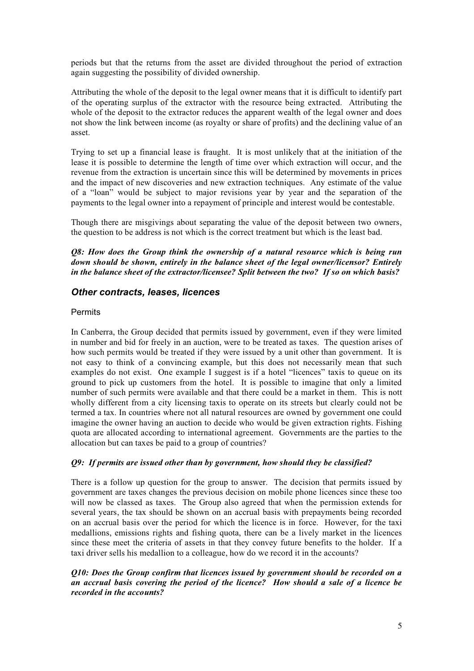periods but that the returns from the asset are divided throughout the period of extraction again suggesting the possibility of divided ownership.

Attributing the whole of the deposit to the legal owner means that it is difficult to identify part of the operating surplus of the extractor with the resource being extracted. Attributing the whole of the deposit to the extractor reduces the apparent wealth of the legal owner and does not show the link between income (as royalty or share of profits) and the declining value of an asset.

Trying to set up a financial lease is fraught. It is most unlikely that at the initiation of the lease it is possible to determine the length of time over which extraction will occur, and the revenue from the extraction is uncertain since this will be determined by movements in prices and the impact of new discoveries and new extraction techniques. Any estimate of the value of a "loan" would be subject to major revisions year by year and the separation of the payments to the legal owner into a repayment of principle and interest would be contestable.

Though there are misgivings about separating the value of the deposit between two owners, the question to be address is not which is the correct treatment but which is the least bad.

*Q8: How does the Group think the ownership of a natural resource which is being run down should be shown, entirely in the balance sheet of the legal owner/licensor? Entirely in the balance sheet of the extractor/licensee? Split between the two? If so on which basis?*

## *Other contracts, leases, licences*

## **Permits**

In Canberra, the Group decided that permits issued by government, even if they were limited in number and bid for freely in an auction, were to be treated as taxes. The question arises of how such permits would be treated if they were issued by a unit other than government. It is not easy to think of a convincing example, but this does not necessarily mean that such examples do not exist. One example I suggest is if a hotel "licences" taxis to queue on its ground to pick up customers from the hotel. It is possible to imagine that only a limited number of such permits were available and that there could be a market in them. This is nott wholly different from a city licensing taxis to operate on its streets but clearly could not be termed a tax. In countries where not all natural resources are owned by government one could imagine the owner having an auction to decide who would be given extraction rights. Fishing quota are allocated according to international agreement. Governments are the parties to the allocation but can taxes be paid to a group of countries?

## *Q9: If permits are issued other than by government, how should they be classified?*

There is a follow up question for the group to answer. The decision that permits issued by government are taxes changes the previous decision on mobile phone licences since these too will now be classed as taxes. The Group also agreed that when the permission extends for several years, the tax should be shown on an accrual basis with prepayments being recorded on an accrual basis over the period for which the licence is in force. However, for the taxi medallions, emissions rights and fishing quota, there can be a lively market in the licences since these meet the criteria of assets in that they convey future benefits to the holder. If a taxi driver sells his medallion to a colleague, how do we record it in the accounts?

## *Q10: Does the Group confirm that licences issued by government should be recorded on a an accrual basis covering the period of the licence? How should a sale of a licence be recorded in the accounts?*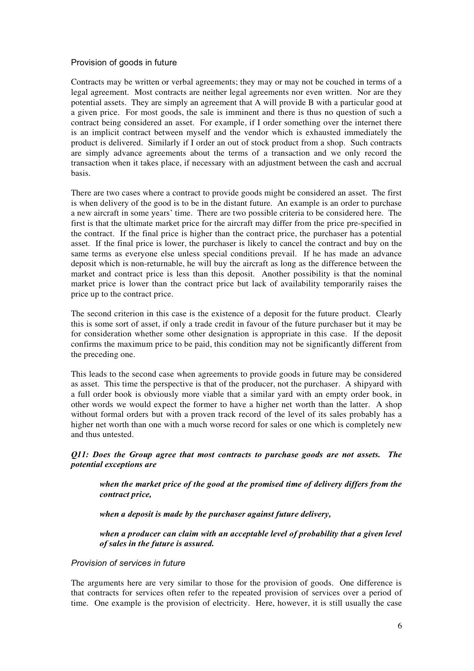## Provision of goods in future

Contracts may be written or verbal agreements; they may or may not be couched in terms of a legal agreement. Most contracts are neither legal agreements nor even written. Nor are they potential assets. They are simply an agreement that A will provide B with a particular good at a given price. For most goods, the sale is imminent and there is thus no question of such a contract being considered an asset. For example, if I order something over the internet there is an implicit contract between myself and the vendor which is exhausted immediately the product is delivered. Similarly if I order an out of stock product from a shop. Such contracts are simply advance agreements about the terms of a transaction and we only record the transaction when it takes place, if necessary with an adjustment between the cash and accrual basis.

There are two cases where a contract to provide goods might be considered an asset. The first is when delivery of the good is to be in the distant future. An example is an order to purchase a new aircraft in some years' time. There are two possible criteria to be considered here. The first is that the ultimate market price for the aircraft may differ from the price pre-specified in the contract. If the final price is higher than the contract price, the purchaser has a potential asset. If the final price is lower, the purchaser is likely to cancel the contract and buy on the same terms as everyone else unless special conditions prevail. If he has made an advance deposit which is non-returnable, he will buy the aircraft as long as the difference between the market and contract price is less than this deposit. Another possibility is that the nominal market price is lower than the contract price but lack of availability temporarily raises the price up to the contract price.

The second criterion in this case is the existence of a deposit for the future product. Clearly this is some sort of asset, if only a trade credit in favour of the future purchaser but it may be for consideration whether some other designation is appropriate in this case. If the deposit confirms the maximum price to be paid, this condition may not be significantly different from the preceding one.

This leads to the second case when agreements to provide goods in future may be considered as asset. This time the perspective is that of the producer, not the purchaser. A shipyard with a full order book is obviously more viable that a similar yard with an empty order book, in other words we would expect the former to have a higher net worth than the latter. A shop without formal orders but with a proven track record of the level of its sales probably has a higher net worth than one with a much worse record for sales or one which is completely new and thus untested.

## *Q11: Does the Group agree that most contracts to purchase goods are not assets. The potential exceptions are*

*when the market price of the good at the promised time of delivery differs from the contract price,*

*when a deposit is made by the purchaser against future delivery,*

*when a producer can claim with an acceptable level of probability that a given level of sales in the future is assured.*

# *Provision of services in future*

The arguments here are very similar to those for the provision of goods. One difference is that contracts for services often refer to the repeated provision of services over a period of time. One example is the provision of electricity. Here, however, it is still usually the case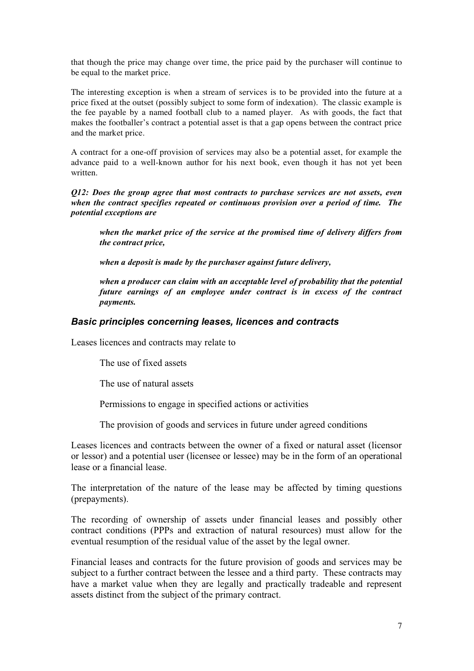that though the price may change over time, the price paid by the purchaser will continue to be equal to the market price.

The interesting exception is when a stream of services is to be provided into the future at a price fixed at the outset (possibly subject to some form of indexation). The classic example is the fee payable by a named football club to a named player. As with goods, the fact that makes the footballer's contract a potential asset is that a gap opens between the contract price and the market price.

A contract for a one-off provision of services may also be a potential asset, for example the advance paid to a well-known author for his next book, even though it has not yet been written.

*Q12: Does the group agree that most contracts to purchase services are not assets, even when the contract specifies repeated or continuous provision over a period of time. The potential exceptions are*

*when the market price of the service at the promised time of delivery differs from the contract price,*

*when a deposit is made by the purchaser against future delivery,*

*when a producer can claim with an acceptable level of probability that the potential future earnings of an employee under contract is in excess of the contract payments.*

## *Basic principles concerning leases, licences and contracts*

Leases licences and contracts may relate to

The use of fixed assets

The use of natural assets

Permissions to engage in specified actions or activities

The provision of goods and services in future under agreed conditions

Leases licences and contracts between the owner of a fixed or natural asset (licensor or lessor) and a potential user (licensee or lessee) may be in the form of an operational lease or a financial lease.

The interpretation of the nature of the lease may be affected by timing questions (prepayments).

The recording of ownership of assets under financial leases and possibly other contract conditions (PPPs and extraction of natural resources) must allow for the eventual resumption of the residual value of the asset by the legal owner.

Financial leases and contracts for the future provision of goods and services may be subject to a further contract between the lessee and a third party. These contracts may have a market value when they are legally and practically tradeable and represent assets distinct from the subject of the primary contract.